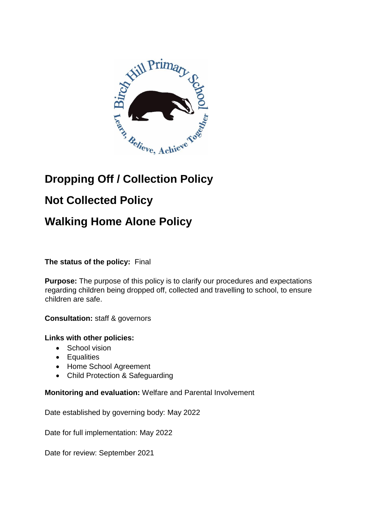

# **Dropping Off / Collection Policy**

# **Not Collected Policy**

## **Walking Home Alone Policy**

## **The status of the policy:** Final

**Purpose:** The purpose of this policy is to clarify our procedures and expectations regarding children being dropped off, collected and travelling to school, to ensure children are safe.

**Consultation:** staff & governors

#### **Links with other policies:**

- School vision
- Equalities
- Home School Agreement
- Child Protection & Safeguarding

#### **Monitoring and evaluation:** Welfare and Parental Involvement

Date established by governing body: May 2022

Date for full implementation: May 2022

Date for review: September 2021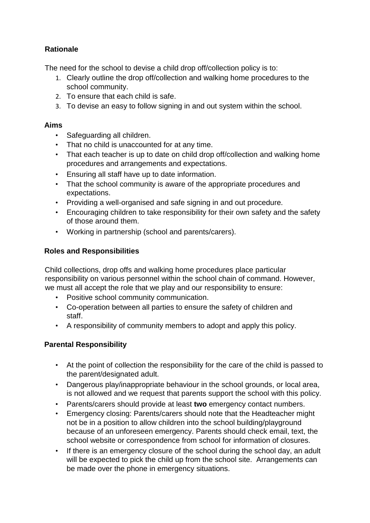## **Rationale**

The need for the school to devise a child drop off/collection policy is to:

- 1. Clearly outline the drop off/collection and walking home procedures to the school community.
- 2. To ensure that each child is safe.
- 3. To devise an easy to follow signing in and out system within the school.

#### **Aims**

- Safeguarding all children.
- That no child is unaccounted for at any time.
- That each teacher is up to date on child drop off/collection and walking home procedures and arrangements and expectations.
- Ensuring all staff have up to date information.
- That the school community is aware of the appropriate procedures and expectations.
- Providing a well-organised and safe signing in and out procedure.
- Encouraging children to take responsibility for their own safety and the safety of those around them.
- Working in partnership (school and parents/carers).

### **Roles and Responsibilities**

Child collections, drop offs and walking home procedures place particular responsibility on various personnel within the school chain of command. However, we must all accept the role that we play and our responsibility to ensure:

- Positive school community communication.
- Co-operation between all parties to ensure the safety of children and staff.
- A responsibility of community members to adopt and apply this policy.

## **Parental Responsibility**

- At the point of collection the responsibility for the care of the child is passed to the parent/designated adult.
- Dangerous play/inappropriate behaviour in the school grounds, or local area, is not allowed and we request that parents support the school with this policy.
- Parents/carers should provide at least **two** emergency contact numbers.
- Emergency closing: Parents/carers should note that the Headteacher might not be in a position to allow children into the school building/playground because of an unforeseen emergency. Parents should check email, text, the school website or correspondence from school for information of closures.
- If there is an emergency closure of the school during the school day, an adult will be expected to pick the child up from the school site. Arrangements can be made over the phone in emergency situations.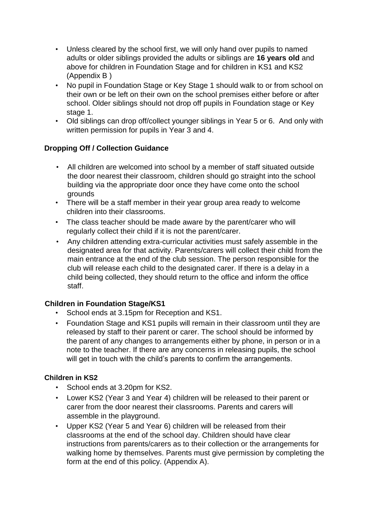- Unless cleared by the school first, we will only hand over pupils to named adults or older siblings provided the adults or siblings are **16 years old** and above for children in Foundation Stage and for children in KS1 and KS2 (Appendix B )
- No pupil in Foundation Stage or Key Stage 1 should walk to or from school on their own or be left on their own on the school premises either before or after school. Older siblings should not drop off pupils in Foundation stage or Key stage 1.
- Old siblings can drop off/collect younger siblings in Year 5 or 6. And only with written permission for pupils in Year 3 and 4.

### **Dropping Off / Collection Guidance**

- All children are welcomed into school by a member of staff situated outside the door nearest their classroom, children should go straight into the school building via the appropriate door once they have come onto the school grounds
- There will be a staff member in their year group area ready to welcome children into their classrooms.
- The class teacher should be made aware by the parent/carer who will regularly collect their child if it is not the parent/carer.
- Any children attending extra-curricular activities must safely assemble in the designated area for that activity. Parents/carers will collect their child from the main entrance at the end of the club session. The person responsible for the club will release each child to the designated carer. If there is a delay in a child being collected, they should return to the office and inform the office staff.

#### **Children in Foundation Stage/KS1**

- School ends at 3.15pm for Reception and KS1.
- Foundation Stage and KS1 pupils will remain in their classroom until they are released by staff to their parent or carer. The school should be informed by the parent of any changes to arrangements either by phone, in person or in a note to the teacher. If there are any concerns in releasing pupils, the school will get in touch with the child's parents to confirm the arrangements.

#### **Children in KS2**

- School ends at 3.20pm for KS2.
- Lower KS2 (Year 3 and Year 4) children will be released to their parent or carer from the door nearest their classrooms. Parents and carers will assemble in the playground.
- Upper KS2 (Year 5 and Year 6) children will be released from their classrooms at the end of the school day. Children should have clear instructions from parents/carers as to their collection or the arrangements for walking home by themselves. Parents must give permission by completing the form at the end of this policy. (Appendix A).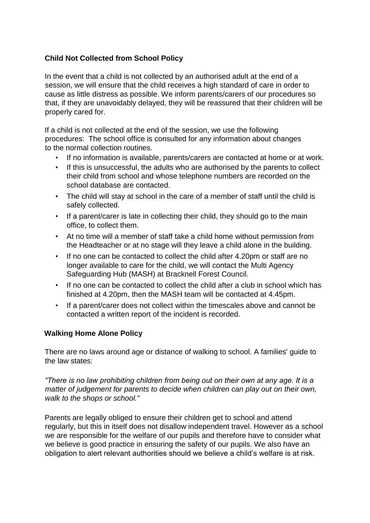### **Child Not Collected from School Policy**

In the event that a child is not collected by an authorised adult at the end of a session, we will ensure that the child receives a high standard of care in order to cause as little distress as possible. We inform parents/carers of our procedures so that, if they are unavoidably delayed, they will be reassured that their children will be properly cared for.

If a child is not collected at the end of the session, we use the following procedures: The school office is consulted for any information about changes to the normal collection routines.

- If no information is available, parents/carers are contacted at home or at work.
- If this is unsuccessful, the adults who are authorised by the parents to collect their child from school and whose telephone numbers are recorded on the school database are contacted.
- The child will stay at school in the care of a member of staff until the child is safely collected.
- If a parent/carer is late in collecting their child, they should go to the main office, to collect them.
- At no time will a member of staff take a child home without permission from the Headteacher or at no stage will they leave a child alone in the building.
- If no one can be contacted to collect the child after 4.20pm or staff are no longer available to care for the child, we will contact the Multi Agency Safeguarding Hub (MASH) at Bracknell Forest Council.
- If no one can be contacted to collect the child after a club in school which has finished at 4.20pm, then the MASH team will be contacted at 4.45pm.
- If a parent/carer does not collect within the timescales above and cannot be contacted a written report of the incident is recorded.

#### **Walking Home Alone Policy**

There are no laws around age or distance of walking to school. A families' guide to the law states:

*"There is no law prohibiting children from being out on their own at any age. It is a matter of judgement for parents to decide when children can play out on their own, walk to the shops or school."*

Parents are legally obliged to ensure their children get to school and attend regularly, but this in itself does not disallow independent travel. However as a school we are responsible for the welfare of our pupils and therefore have to consider what we believe is good practice in ensuring the safety of our pupils. We also have an obligation to alert relevant authorities should we believe a child's welfare is at risk.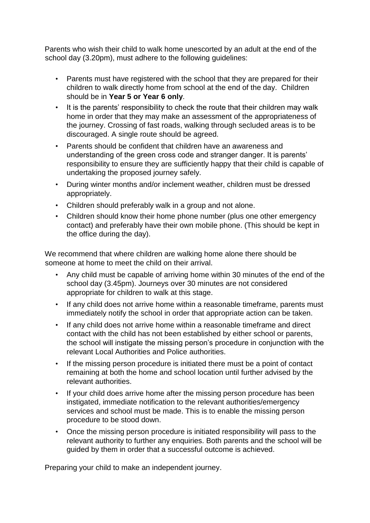Parents who wish their child to walk home unescorted by an adult at the end of the school day (3.20pm), must adhere to the following guidelines:

- Parents must have registered with the school that they are prepared for their children to walk directly home from school at the end of the day. Children should be in **Year 5 or Year 6 only**.
- It is the parents' responsibility to check the route that their children may walk home in order that they may make an assessment of the appropriateness of the journey. Crossing of fast roads, walking through secluded areas is to be discouraged. A single route should be agreed.
- Parents should be confident that children have an awareness and understanding of the green cross code and stranger danger. It is parents' responsibility to ensure they are sufficiently happy that their child is capable of undertaking the proposed journey safely.
- During winter months and/or inclement weather, children must be dressed appropriately.
- Children should preferably walk in a group and not alone.
- Children should know their home phone number (plus one other emergency contact) and preferably have their own mobile phone. (This should be kept in the office during the day).

We recommend that where children are walking home alone there should be someone at home to meet the child on their arrival.

- Any child must be capable of arriving home within 30 minutes of the end of the school day (3.45pm). Journeys over 30 minutes are not considered appropriate for children to walk at this stage.
- If any child does not arrive home within a reasonable timeframe, parents must immediately notify the school in order that appropriate action can be taken.
- If any child does not arrive home within a reasonable timeframe and direct contact with the child has not been established by either school or parents, the school will instigate the missing person's procedure in conjunction with the relevant Local Authorities and Police authorities.
- If the missing person procedure is initiated there must be a point of contact remaining at both the home and school location until further advised by the relevant authorities.
- If your child does arrive home after the missing person procedure has been instigated, immediate notification to the relevant authorities/emergency services and school must be made. This is to enable the missing person procedure to be stood down.
- Once the missing person procedure is initiated responsibility will pass to the relevant authority to further any enquiries. Both parents and the school will be guided by them in order that a successful outcome is achieved.

Preparing your child to make an independent journey.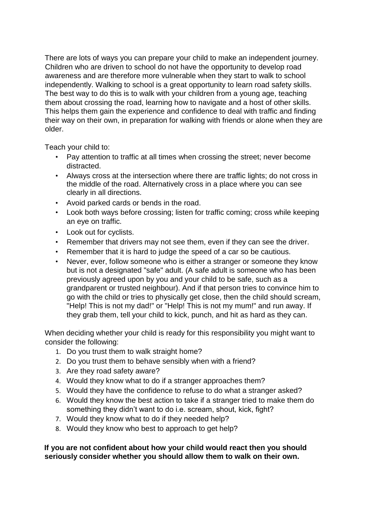There are lots of ways you can prepare your child to make an independent journey. Children who are driven to school do not have the opportunity to develop road awareness and are therefore more vulnerable when they start to walk to school independently. Walking to school is a great opportunity to learn road safety skills. The best way to do this is to walk with your children from a young age, teaching them about crossing the road, learning how to navigate and a host of other skills. This helps them gain the experience and confidence to deal with traffic and finding their way on their own, in preparation for walking with friends or alone when they are older.

Teach your child to:

- Pay attention to traffic at all times when crossing the street; never become distracted.
- Always cross at the intersection where there are traffic lights; do not cross in the middle of the road. Alternatively cross in a place where you can see clearly in all directions.
- Avoid parked cards or bends in the road.
- Look both ways before crossing; listen for traffic coming; cross while keeping an eye on traffic.
- Look out for cyclists.
- Remember that drivers may not see them, even if they can see the driver.
- Remember that it is hard to judge the speed of a car so be cautious.
- Never, ever, follow someone who is either a stranger or someone they know but is not a designated "safe" adult. (A safe adult is someone who has been previously agreed upon by you and your child to be safe, such as a grandparent or trusted neighbour). And if that person tries to convince him to go with the child or tries to physically get close, then the child should scream, "Help! This is not my dad!" or "Help! This is not my mum!" and run away. If they grab them, tell your child to kick, punch, and hit as hard as they can.

When deciding whether your child is ready for this responsibility you might want to consider the following:

- 1. Do you trust them to walk straight home?
- 2. Do you trust them to behave sensibly when with a friend?
- 3. Are they road safety aware?
- 4. Would they know what to do if a stranger approaches them?
- 5. Would they have the confidence to refuse to do what a stranger asked?
- 6. Would they know the best action to take if a stranger tried to make them do something they didn't want to do i.e. scream, shout, kick, fight?
- 7. Would they know what to do if they needed help?
- 8. Would they know who best to approach to get help?

**If you are not confident about how your child would react then you should seriously consider whether you should allow them to walk on their own.**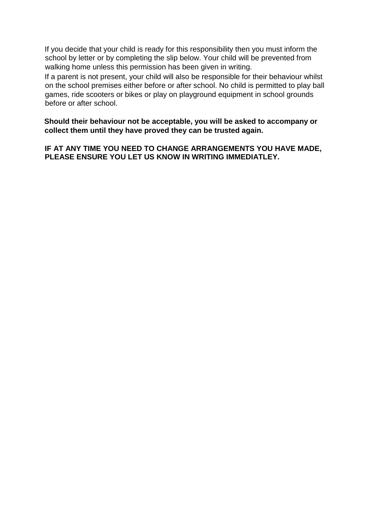If you decide that your child is ready for this responsibility then you must inform the school by letter or by completing the slip below. Your child will be prevented from walking home unless this permission has been given in writing.

If a parent is not present, your child will also be responsible for their behaviour whilst on the school premises either before or after school. No child is permitted to play ball games, ride scooters or bikes or play on playground equipment in school grounds before or after school.

**Should their behaviour not be acceptable, you will be asked to accompany or collect them until they have proved they can be trusted again.** 

**IF AT ANY TIME YOU NEED TO CHANGE ARRANGEMENTS YOU HAVE MADE, PLEASE ENSURE YOU LET US KNOW IN WRITING IMMEDIATLEY.**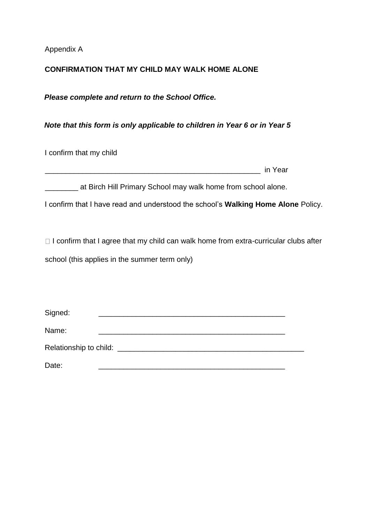Appendix A

#### **CONFIRMATION THAT MY CHILD MAY WALK HOME ALONE**

*Please complete and return to the School Office.* 

*Note that this form is only applicable to children in Year 6 or in Year 5*

I confirm that my child

\_\_\_\_\_\_\_\_\_\_\_\_\_\_\_\_\_\_\_\_\_\_\_\_\_\_\_\_\_\_\_\_\_\_\_\_\_\_\_\_\_\_\_\_\_\_\_\_\_\_\_\_ in Year

at Birch Hill Primary School may walk home from school alone.

I confirm that I have read and understood the school's **Walking Home Alone** Policy.

 $\Box$  I confirm that I agree that my child can walk home from extra-curricular clubs after school (this applies in the summer term only)

| Signed: |                                        |  |
|---------|----------------------------------------|--|
| Name:   |                                        |  |
|         | Relationship to child: _______________ |  |
| Date:   |                                        |  |